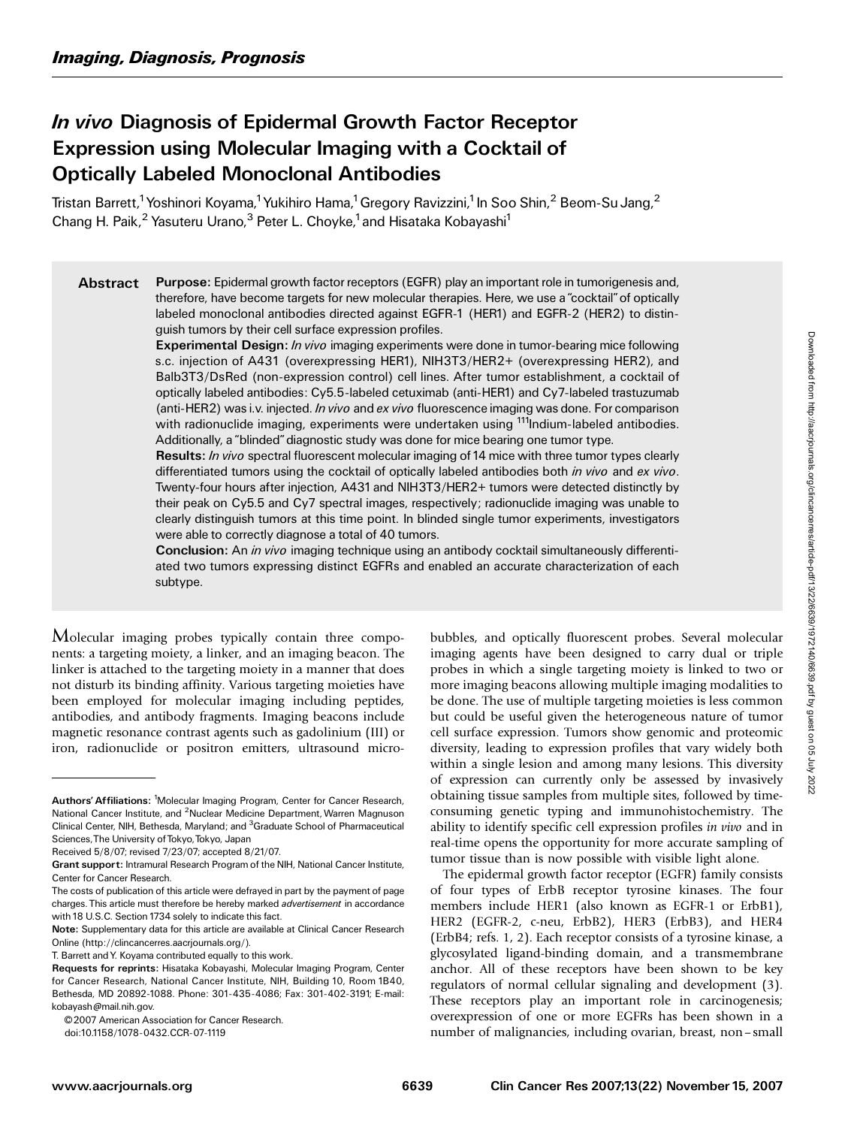# In vivo Diagnosis of Epidermal Growth Factor Receptor Expression using Molecular Imaging with a Cocktail of Optically Labeled Monoclonal Antibodies

Tristan Barrett,<sup>1</sup> Yoshinori Koyama,<sup>1</sup> Yukihiro Hama,<sup>1</sup> Gregory Ravizzini,<sup>1</sup> In Soo Shin,<sup>2</sup> Beom-Su Jang,<sup>2</sup> Chang H. Paik,<sup>2</sup> Yasuteru Urano,<sup>3</sup> Peter L. Choyke,<sup>1</sup> and Hisataka Kobayashi<sup>1</sup>

Abstract Purpose: Epidermal growth factor receptors (EGFR) play an important role in tumorigenesis and, therefore, have become targets for new molecular therapies. Here, we use a "cocktail" of optically labeled monoclonal antibodies directed against EGFR-1 (HER1) and EGFR-2 (HER2) to distinguish tumors by their cell surface expression profiles.

Experimental Design: In vivo imaging experiments were done in tumor-bearing mice following s.c. injection of A431 (overexpressing HER1), NIH3T3/HER2+ (overexpressing HER2), and Balb3T3/DsRed (non-expression control) cell lines. After tumor establishment, a cocktail of optically labeled antibodies: Cy5.5-labeled cetuximab (anti-HER1) and Cy7-labeled trastuzumab (anti-HER2) was i.v. injected. *In vivo* and ex vivo fluorescence imaging was done. For comparison with radionuclide imaging, experiments were undertaken using <sup>111</sup>Indium-labeled antibodies. Additionally, a''blinded''diagnostic study was done for mice bearing one tumor type.

Results: In vivo spectral fluorescent molecular imaging of 14 mice with three tumor types clearly differentiated tumors using the cocktail of optically labeled antibodies both in vivo and ex vivo. Twenty-four hours after injection, A431and NIH3T3/HER2+ tumors were detected distinctly by their peak on Cy5.5 and Cy7 spectral images, respectively; radionuclide imaging was unable to clearly distinguish tumors at this time point. In blinded single tumor experiments, investigators were able to correctly diagnose a total of 40 tumors.

**Conclusion:** An *in vivo* imaging technique using an antibody cocktail simultaneously differentiated two tumors expressing distinct EGFRs and enabled an accurate characterization of each subtype.

Molecular imaging probes typically contain three components: a targeting moiety, a linker, and an imaging beacon. The linker is attached to the targeting moiety in a manner that does not disturb its binding affinity. Various targeting moieties have been employed for molecular imaging including peptides, antibodies, and antibody fragments. Imaging beacons include magnetic resonance contrast agents such as gadolinium (III) or iron, radionuclide or positron emitters, ultrasound micro-

doi:10.1158/1078-0432.CCR-07-1119

bubbles, and optically fluorescent probes. Several molecular imaging agents have been designed to carry dual or triple probes in which a single targeting moiety is linked to two or more imaging beacons allowing multiple imaging modalities to be done. The use of multiple targeting moieties is less common but could be useful given the heterogeneous nature of tumor cell surface expression. Tumors show genomic and proteomic diversity, leading to expression profiles that vary widely both within a single lesion and among many lesions. This diversity of expression can currently only be assessed by invasively obtaining tissue samples from multiple sites, followed by timeconsuming genetic typing and immunohistochemistry. The ability to identify specific cell expression profiles in vivo and in real-time opens the opportunity for more accurate sampling of tumor tissue than is now possible with visible light alone.

The epidermal growth factor receptor (EGFR) family consists of four types of ErbB receptor tyrosine kinases. The four members include HER1 (also known as EGFR-1 or ErbB1), HER2 (EGFR-2, c-neu, ErbB2), HER3 (ErbB3), and HER4 (ErbB4; refs. 1, 2). Each receptor consists of a tyrosine kinase, a glycosylated ligand-binding domain, and a transmembrane anchor. All of these receptors have been shown to be key regulators of normal cellular signaling and development (3). These receptors play an important role in carcinogenesis; overexpression of one or more EGFRs has been shown in a number of malignancies, including ovarian, breast, non – small

Authors' Affiliations: <sup>1</sup>Molecular Imaging Program, Center for Cancer Research, National Cancer Institute, and <sup>2</sup>Nuclear Medicine Department, Warren Magnuson Clinical Center, NIH, Bethesda, Maryland; and <sup>3</sup>Graduate School of Pharmaceutical Sciences, The University of Tokyo, Tokyo, Japan

Received 5/8/07; revised 7/23/07; accepted 8/21/07.

Grant support: Intramural Research Program of the NIH, National Cancer Institute, Center for Cancer Research.

The costs of publication of this article were defrayed in part by the payment of page charges.This article must therefore be hereby marked advertisement in accordance with 18 U.S.C. Section 1734 solely to indicate this fact.

Note: Supplementary data for this article are available at Clinical Cancer Research Online (http://clincancerres.aacrjournals.org/).

T.Barrett andY.Koyama contributed equally to this work.

Requests for reprints: Hisataka Kobayashi, Molecular Imaging Program, Center for Cancer Research, National Cancer Institute, NIH, Building 10, Room 1B40, Bethesda, MD 20892-1088.Phone: 301-435-4086; Fax: 301-402-3191; E-mail: kobayash@mail.nih.gov.

<sup>© 2007</sup> American Association for Cancer Research.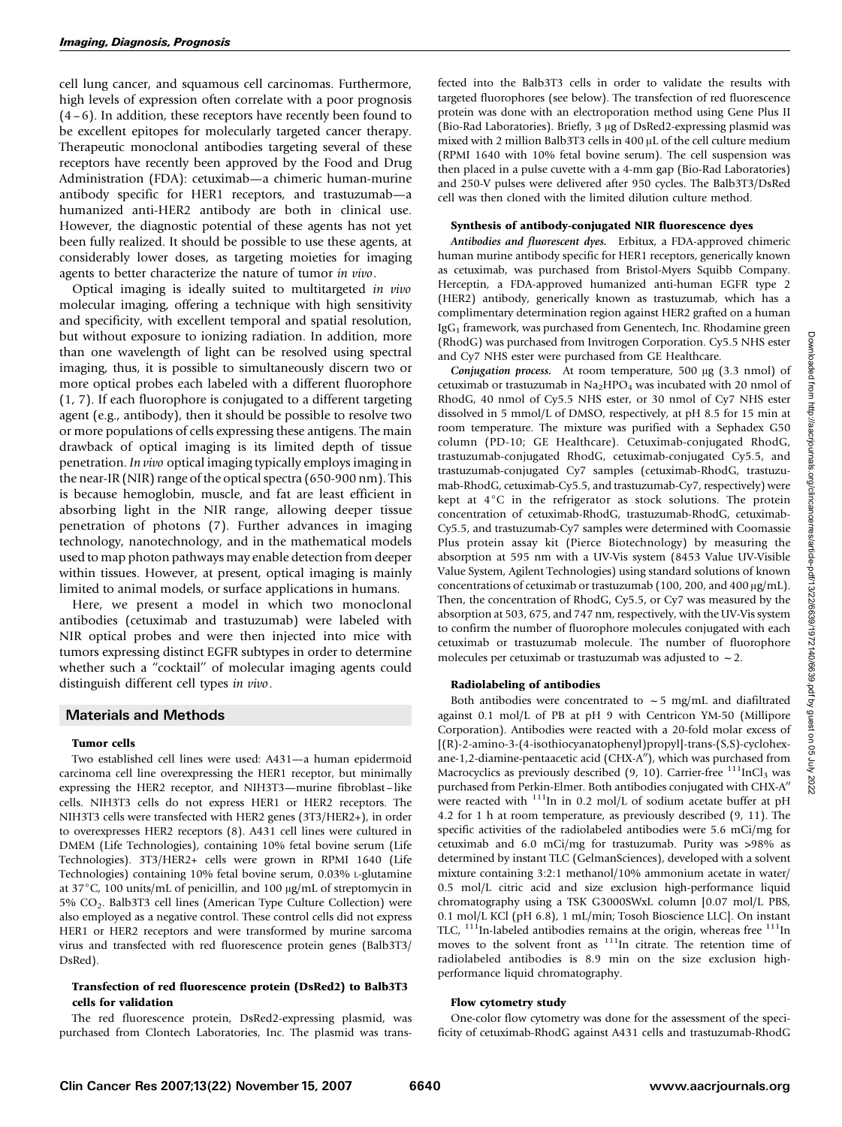cell lung cancer, and squamous cell carcinomas. Furthermore, high levels of expression often correlate with a poor prognosis  $(4-6)$ . In addition, these receptors have recently been found to be excellent epitopes for molecularly targeted cancer therapy. Therapeutic monoclonal antibodies targeting several of these receptors have recently been approved by the Food and Drug Administration (FDA): cetuximab—a chimeric human-murine antibody specific for HER1 receptors, and trastuzumab—a humanized anti-HER2 antibody are both in clinical use. However, the diagnostic potential of these agents has not yet been fully realized. It should be possible to use these agents, at considerably lower doses, as targeting moieties for imaging agents to better characterize the nature of tumor in vivo.

Optical imaging is ideally suited to multitargeted in vivo molecular imaging, offering a technique with high sensitivity and specificity, with excellent temporal and spatial resolution, but without exposure to ionizing radiation. In addition, more than one wavelength of light can be resolved using spectral imaging, thus, it is possible to simultaneously discern two or more optical probes each labeled with a different fluorophore (1, 7). If each fluorophore is conjugated to a different targeting agent (e.g., antibody), then it should be possible to resolve two or more populations of cells expressing these antigens. The main drawback of optical imaging is its limited depth of tissue penetration. In vivo optical imaging typically employs imaging in the near-IR (NIR) range of the optical spectra (650-900 nm). This is because hemoglobin, muscle, and fat are least efficient in absorbing light in the NIR range, allowing deeper tissue penetration of photons (7). Further advances in imaging technology, nanotechnology, and in the mathematical models used to map photon pathways may enable detection from deeper within tissues. However, at present, optical imaging is mainly limited to animal models, or surface applications in humans.

Here, we present a model in which two monoclonal antibodies (cetuximab and trastuzumab) were labeled with NIR optical probes and were then injected into mice with tumors expressing distinct EGFR subtypes in order to determine whether such a "cocktail" of molecular imaging agents could distinguish different cell types in vivo.

# Materials and Methods

#### Tumor cells

Two established cell lines were used: A431—a human epidermoid carcinoma cell line overexpressing the HER1 receptor, but minimally expressing the HER2 receptor, and NIH3T3-murine fibroblast-like cells. NIH3T3 cells do not express HER1 or HER2 receptors. The NIH3T3 cells were transfected with HER2 genes (3T3/HER2+), in order to overexpresses HER2 receptors (8). A431 cell lines were cultured in DMEM (Life Technologies), containing 10% fetal bovine serum (Life Technologies). 3T3/HER2+ cells were grown in RPMI 1640 (Life Technologies) containing 10% fetal bovine serum, 0.03% L-glutamine at 37 $\degree$ C, 100 units/mL of penicillin, and 100  $\mu$ g/mL of streptomycin in 5% CO2. Balb3T3 cell lines (American Type Culture Collection) were also employed as a negative control. These control cells did not express HER1 or HER2 receptors and were transformed by murine sarcoma virus and transfected with red fluorescence protein genes (Balb3T3/ DsRed).

## Transfection of red fluorescence protein (DsRed2) to Balb3T3 cells for validation

The red fluorescence protein, DsRed2-expressing plasmid, was purchased from Clontech Laboratories, Inc. The plasmid was transfected into the Balb3T3 cells in order to validate the results with targeted fluorophores (see below). The transfection of red fluorescence protein was done with an electroporation method using Gene Plus II (Bio-Rad Laboratories). Briefly,  $3 \mu$ g of DsRed2-expressing plasmid was mixed with 2 million Balb3T3 cells in 400  $\mu$ L of the cell culture medium (RPMI 1640 with 10% fetal bovine serum). The cell suspension was then placed in a pulse cuvette with a 4-mm gap (Bio-Rad Laboratories) and 250-V pulses were delivered after 950 cycles. The Balb3T3/DsRed cell was then cloned with the limited dilution culture method.

# Synthesis of antibody-conjugated NIR fluorescence dyes

Antibodies and fluorescent dyes. Erbitux, a FDA-approved chimeric human murine antibody specific for HER1 receptors, generically known as cetuximab, was purchased from Bristol-Myers Squibb Company. Herceptin, a FDA-approved humanized anti-human EGFR type 2 (HER2) antibody, generically known as trastuzumab, which has a complimentary determination region against HER2 grafted on a human IgG1 framework, was purchased from Genentech, Inc. Rhodamine green (RhodG) was purchased from Invitrogen Corporation. Cy5.5 NHS ester and Cy7 NHS ester were purchased from GE Healthcare.

Conjugation process. At room temperature, 500  $\mu$ g (3.3 nmol) of cetuximab or trastuzumab in  $Na<sub>2</sub>HPO<sub>4</sub>$  was incubated with 20 nmol of RhodG, 40 nmol of Cy5.5 NHS ester, or 30 nmol of Cy7 NHS ester dissolved in 5 mmol/L of DMSO, respectively, at pH 8.5 for 15 min at room temperature. The mixture was purified with a Sephadex G50 column (PD-10; GE Healthcare). Cetuximab-conjugated RhodG, trastuzumab-conjugated RhodG, cetuximab-conjugated Cy5.5, and trastuzumab-conjugated Cy7 samples (cetuximab-RhodG, trastuzumab-RhodG, cetuximab-Cy5.5, and trastuzumab-Cy7, respectively) were kept at  $4^{\circ}$ C in the refrigerator as stock solutions. The protein concentration of cetuximab-RhodG, trastuzumab-RhodG, cetuximab-Cy5.5, and trastuzumab-Cy7 samples were determined with Coomassie Plus protein assay kit (Pierce Biotechnology) by measuring the absorption at 595 nm with a UV-Vis system (8453 Value UV-Visible Value System, Agilent Technologies) using standard solutions of known concentrations of cetuximab or trastuzumab (100, 200, and 400  $\mu$ g/mL). Then, the concentration of RhodG, Cy5.5, or Cy7 was measured by the absorption at 503, 675, and 747 nm, respectively, with the UV-Vis system to confirm the number of fluorophore molecules conjugated with each cetuximab or trastuzumab molecule. The number of fluorophore molecules per cetuximab or trastuzumab was adjusted to  $\sim$  2.

# Radiolabeling of antibodies

Both antibodies were concentrated to  $\sim$  5 mg/mL and diafiltrated against 0.1 mol/L of PB at pH 9 with Centricon YM-50 (Millipore Corporation). Antibodies were reacted with a 20-fold molar excess of [(R)-2-amino-3-(4-isothiocyanatophenyl)propyl]-trans-(S,S)-cyclohexane-1,2-diamine-pentaacetic acid (CHX-A"), which was purchased from Macrocyclics as previously described (9, 10). Carrier-free  $^{111}$ InCl<sub>3</sub> was purchased from Perkin-Elmer. Both antibodies conjugated with CHX-A" were reacted with  $111$ In in 0.2 mol/L of sodium acetate buffer at pH 4.2 for 1 h at room temperature, as previously described (9, 11). The specific activities of the radiolabeled antibodies were 5.6 mCi/mg for cetuximab and 6.0 mCi/mg for trastuzumab. Purity was >98% as determined by instant TLC (GelmanSciences), developed with a solvent mixture containing 3:2:1 methanol/10% ammonium acetate in water/ 0.5 mol/L citric acid and size exclusion high-performance liquid chromatography using a TSK G3000SWxL column [0.07 mol/L PBS, 0.1 mol/L KCl (pH 6.8), 1 mL/min; Tosoh Bioscience LLC]. On instant TLC,  $^{111}$ In-labeled antibodies remains at the origin, whereas free  $^{111}$ In moves to the solvent front as <sup>111</sup>In citrate. The retention time of radiolabeled antibodies is 8.9 min on the size exclusion highperformance liquid chromatography.

#### Flow cytometry study

One-color flow cytometry was done for the assessment of the specificity of cetuximab-RhodG against A431 cells and trastuzumab-RhodG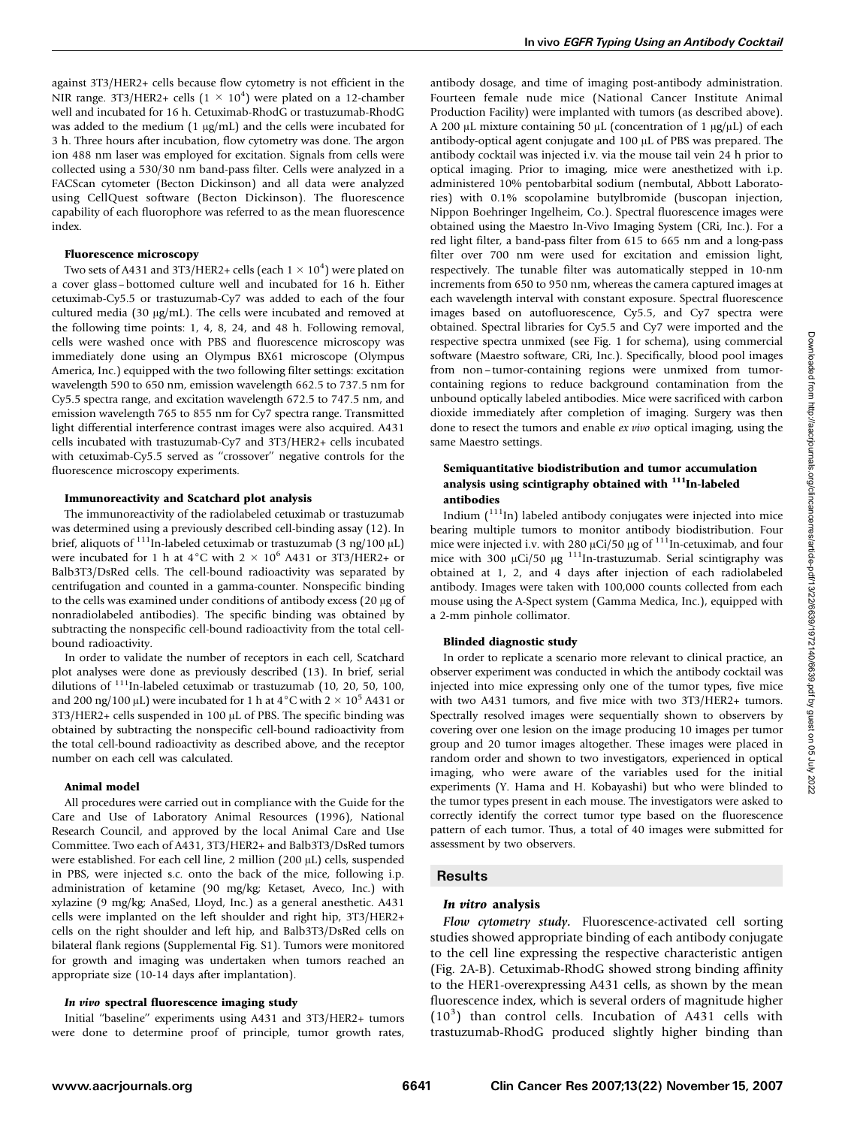against 3T3/HER2+ cells because flow cytometry is not efficient in the NIR range. 3T3/HER2+ cells  $(1 \times 10^4)$  were plated on a 12-chamber well and incubated for 16 h. Cetuximab-RhodG or trastuzumab-RhodG was added to the medium  $(1 \mu g/mL)$  and the cells were incubated for 3 h. Three hours after incubation, flow cytometry was done. The argon ion 488 nm laser was employed for excitation. Signals from cells were collected using a 530/30 nm band-pass filter. Cells were analyzed in a FACScan cytometer (Becton Dickinson) and all data were analyzed using CellQuest software (Becton Dickinson). The fluorescence capability of each fluorophore was referred to as the mean fluorescence index.

#### Fluorescence microscopy

Two sets of A431 and 3T3/HER2+ cells (each  $1 \times 10^4$ ) were plated on a cover glass – bottomed culture well and incubated for 16 h. Either cetuximab-Cy5.5 or trastuzumab-Cy7 was added to each of the four cultured media (30 µg/mL). The cells were incubated and removed at the following time points: 1, 4, 8, 24, and 48 h. Following removal, cells were washed once with PBS and fluorescence microscopy was immediately done using an Olympus BX61 microscope (Olympus America, Inc.) equipped with the two following filter settings: excitation wavelength 590 to 650 nm, emission wavelength 662.5 to 737.5 nm for Cy5.5 spectra range, and excitation wavelength 672.5 to 747.5 nm, and emission wavelength 765 to 855 nm for Cy7 spectra range. Transmitted light differential interference contrast images were also acquired. A431 cells incubated with trastuzumab-Cy7 and 3T3/HER2+ cells incubated with cetuximab-Cy5.5 served as ''crossover'' negative controls for the fluorescence microscopy experiments.

#### Immunoreactivity and Scatchard plot analysis

The immunoreactivity of the radiolabeled cetuximab or trastuzumab was determined using a previously described cell-binding assay (12). In brief, aliquots of <sup>111</sup>In-labeled cetuximab or trastuzumab (3 ng/100  $\mu$ L) were incubated for 1 h at  $4^{\circ}$ C with  $2 \times 10^6$  A431 or 3T3/HER2+ or Balb3T3/DsRed cells. The cell-bound radioactivity was separated by centrifugation and counted in a gamma-counter. Nonspecific binding to the cells was examined under conditions of antibody excess (20 µg of nonradiolabeled antibodies). The specific binding was obtained by subtracting the nonspecific cell-bound radioactivity from the total cellbound radioactivity.

In order to validate the number of receptors in each cell, Scatchard plot analyses were done as previously described (13). In brief, serial dilutions of 111In-labeled cetuximab or trastuzumab (10, 20, 50, 100, and 200 ng/100  $\mu$ L) were incubated for 1 h at 4 °C with 2  $\times$  10<sup>5</sup> A431 or  $3T3/HER2+$  cells suspended in 100  $\mu$ L of PBS. The specific binding was obtained by subtracting the nonspecific cell-bound radioactivity from the total cell-bound radioactivity as described above, and the receptor number on each cell was calculated.

# Animal model

All procedures were carried out in compliance with the Guide for the Care and Use of Laboratory Animal Resources (1996), National Research Council, and approved by the local Animal Care and Use Committee. Two each of A431, 3T3/HER2+ and Balb3T3/DsRed tumors were established. For each cell line, 2 million (200 µL) cells, suspended in PBS, were injected s.c. onto the back of the mice, following i.p. administration of ketamine (90 mg/kg; Ketaset, Aveco, Inc.) with xylazine (9 mg/kg; AnaSed, Lloyd, Inc.) as a general anesthetic. A431 cells were implanted on the left shoulder and right hip, 3T3/HER2+ cells on the right shoulder and left hip, and Balb3T3/DsRed cells on bilateral flank regions (Supplemental Fig. S1). Tumors were monitored for growth and imaging was undertaken when tumors reached an appropriate size (10-14 days after implantation).

#### In vivo spectral fluorescence imaging study

Initial ''baseline'' experiments using A431 and 3T3/HER2+ tumors were done to determine proof of principle, tumor growth rates,

antibody dosage, and time of imaging post-antibody administration. Fourteen female nude mice (National Cancer Institute Animal Production Facility) were implanted with tumors (as described above). A 200  $\mu$ L mixture containing 50  $\mu$ L (concentration of 1  $\mu$ g/ $\mu$ L) of each antibody-optical agent conjugate and 100 µL of PBS was prepared. The antibody cocktail was injected i.v. via the mouse tail vein 24 h prior to optical imaging. Prior to imaging, mice were anesthetized with i.p. administered 10% pentobarbital sodium (nembutal, Abbott Laboratories) with 0.1% scopolamine butylbromide (buscopan injection, Nippon Boehringer Ingelheim, Co.). Spectral fluorescence images were obtained using the Maestro In-Vivo Imaging System (CRi, Inc.). For a red light filter, a band-pass filter from 615 to 665 nm and a long-pass filter over 700 nm were used for excitation and emission light, respectively. The tunable filter was automatically stepped in 10-nm increments from 650 to 950 nm, whereas the camera captured images at each wavelength interval with constant exposure. Spectral fluorescence images based on autofluorescence, Cy5.5, and Cy7 spectra were obtained. Spectral libraries for Cy5.5 and Cy7 were imported and the respective spectra unmixed (see Fig. 1 for schema), using commercial software (Maestro software, CRi, Inc.). Specifically, blood pool images from non – tumor-containing regions were unmixed from tumorcontaining regions to reduce background contamination from the unbound optically labeled antibodies. Mice were sacrificed with carbon dioxide immediately after completion of imaging. Surgery was then done to resect the tumors and enable ex vivo optical imaging, using the same Maestro settings.

# Semiquantitative biodistribution and tumor accumulation analysis using scintigraphy obtained with <sup>111</sup>In-labeled antibodies

Indium  $\binom{111}{11}$  labeled antibody conjugates were injected into mice bearing multiple tumors to monitor antibody biodistribution. Four mice were injected i.v. with 280  $\mu$ Ci/50  $\mu$ g of  $^{111}$ In-cetuximab, and four mice with  $300 \mu$ Ci/50  $\mu$ g <sup>111</sup>In-trastuzumab. Serial scintigraphy was obtained at 1, 2, and 4 days after injection of each radiolabeled antibody. Images were taken with 100,000 counts collected from each mouse using the A-Spect system (Gamma Medica, Inc.), equipped with a 2-mm pinhole collimator.

### Blinded diagnostic study

In order to replicate a scenario more relevant to clinical practice, an observer experiment was conducted in which the antibody cocktail was injected into mice expressing only one of the tumor types, five mice with two A431 tumors, and five mice with two 3T3/HER2+ tumors. Spectrally resolved images were sequentially shown to observers by covering over one lesion on the image producing 10 images per tumor group and 20 tumor images altogether. These images were placed in random order and shown to two investigators, experienced in optical imaging, who were aware of the variables used for the initial experiments (Y. Hama and H. Kobayashi) but who were blinded to the tumor types present in each mouse. The investigators were asked to correctly identify the correct tumor type based on the fluorescence pattern of each tumor. Thus, a total of 40 images were submitted for assessment by two observers.

## **Results**

#### In vitro analysis

Flow cytometry study. Fluorescence-activated cell sorting studies showed appropriate binding of each antibody conjugate to the cell line expressing the respective characteristic antigen (Fig. 2A-B). Cetuximab-RhodG showed strong binding affinity to the HER1-overexpressing A431 cells, as shown by the mean fluorescence index, which is several orders of magnitude higher (10<sup>3</sup>) than control cells. Incubation of A431 cells with trastuzumab-RhodG produced slightly higher binding than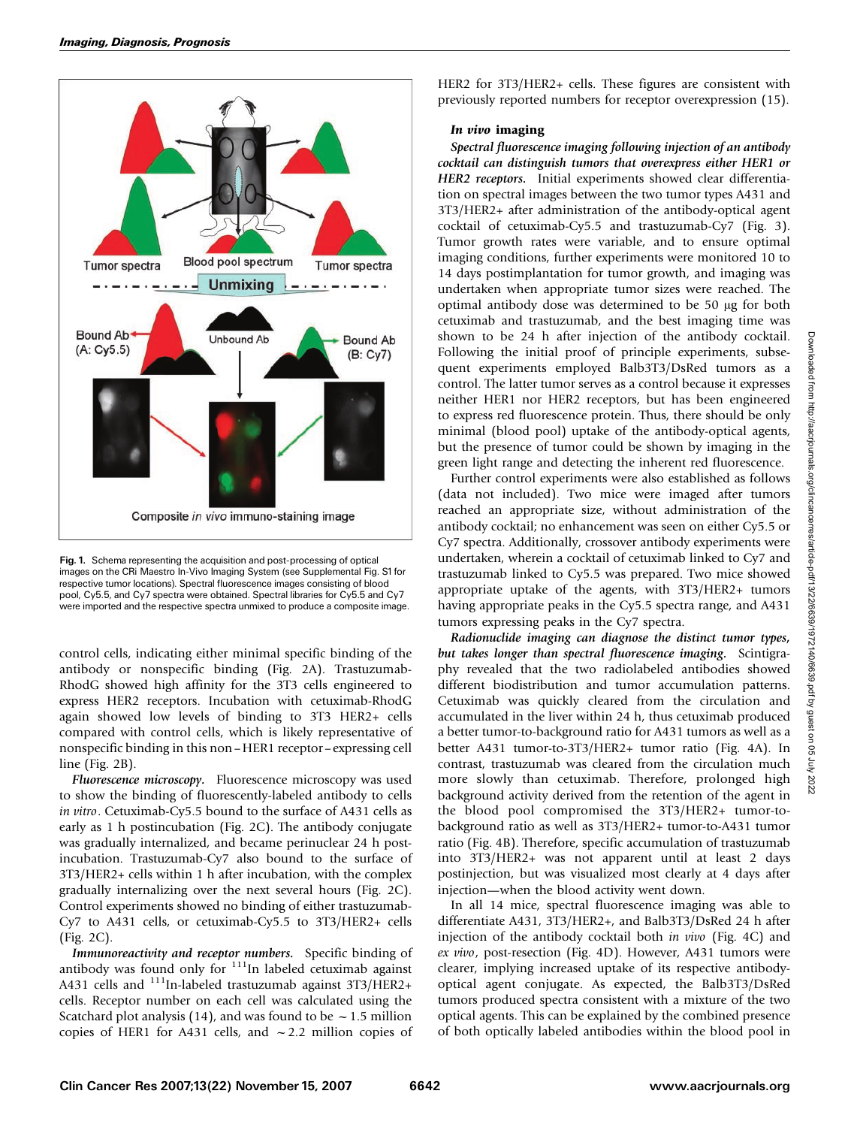

Fig. 1. Schema representing the acquisition and post-processing of optical images on the CRi Maestro In-Vivo Imaging System (see Supplemental Fig. S1 for respective tumor locations). Spectral fluorescence images consisting of blood pool, Cy5.5, and Cy7 spectra were obtained. Spectral libraries for Cy5.5 and Cy7 were imported and the respective spectra unmixed to produce a composite image.

control cells, indicating either minimal specific binding of the antibody or nonspecific binding (Fig. 2A). Trastuzumab-RhodG showed high affinity for the 3T3 cells engineered to express HER2 receptors. Incubation with cetuximab-RhodG again showed low levels of binding to 3T3 HER2+ cells compared with control cells, which is likely representative of nonspecific binding in this non –HER1 receptor–expressing cell line (Fig. 2B).

Fluorescence microscopy. Fluorescence microscopy was used to show the binding of fluorescently-labeled antibody to cells in vitro. Cetuximab-Cy5.5 bound to the surface of A431 cells as early as 1 h postincubation (Fig. 2C). The antibody conjugate was gradually internalized, and became perinuclear 24 h postincubation. Trastuzumab-Cy7 also bound to the surface of 3T3/HER2+ cells within 1 h after incubation, with the complex gradually internalizing over the next several hours (Fig. 2C). Control experiments showed no binding of either trastuzumab-Cy7 to A431 cells, or cetuximab-Cy5.5 to 3T3/HER2+ cells (Fig. 2C).

Immunoreactivity and receptor numbers. Specific binding of antibody was found only for  $111$ In labeled cetuximab against A431 cells and <sup>111</sup>In-labeled trastuzumab against 3T3/HER2+ cells. Receptor number on each cell was calculated using the Scatchard plot analysis (14), and was found to be  $\sim$  1.5 million copies of HER1 for A431 cells, and  $\sim$  2.2 million copies of HER2 for 3T3/HER2+ cells. These figures are consistent with previously reported numbers for receptor overexpression (15).

## In vivo imaging

Spectral fluorescence imaging following injection of an antibody cocktail can distinguish tumors that overexpress either HER1 or HER2 receptors. Initial experiments showed clear differentiation on spectral images between the two tumor types A431 and 3T3/HER2+ after administration of the antibody-optical agent cocktail of cetuximab-Cy5.5 and trastuzumab-Cy7 (Fig. 3). Tumor growth rates were variable, and to ensure optimal imaging conditions, further experiments were monitored 10 to 14 days postimplantation for tumor growth, and imaging was undertaken when appropriate tumor sizes were reached. The optimal antibody dose was determined to be 50 µg for both cetuximab and trastuzumab, and the best imaging time was shown to be 24 h after injection of the antibody cocktail. Following the initial proof of principle experiments, subsequent experiments employed Balb3T3/DsRed tumors as a control. The latter tumor serves as a control because it expresses neither HER1 nor HER2 receptors, but has been engineered to express red fluorescence protein. Thus, there should be only minimal (blood pool) uptake of the antibody-optical agents, but the presence of tumor could be shown by imaging in the green light range and detecting the inherent red fluorescence.

Further control experiments were also established as follows (data not included). Two mice were imaged after tumors reached an appropriate size, without administration of the antibody cocktail; no enhancement was seen on either Cy5.5 or Cy7 spectra. Additionally, crossover antibody experiments were undertaken, wherein a cocktail of cetuximab linked to Cy7 and trastuzumab linked to Cy5.5 was prepared. Two mice showed appropriate uptake of the agents, with 3T3/HER2+ tumors having appropriate peaks in the Cy5.5 spectra range, and A431 tumors expressing peaks in the Cy7 spectra.

Radionuclide imaging can diagnose the distinct tumor types, but takes longer than spectral fluorescence imaging. Scintigraphy revealed that the two radiolabeled antibodies showed different biodistribution and tumor accumulation patterns. Cetuximab was quickly cleared from the circulation and accumulated in the liver within 24 h, thus cetuximab produced a better tumor-to-background ratio for A431 tumors as well as a better A431 tumor-to-3T3/HER2+ tumor ratio (Fig. 4A). In contrast, trastuzumab was cleared from the circulation much more slowly than cetuximab. Therefore, prolonged high background activity derived from the retention of the agent in the blood pool compromised the 3T3/HER2+ tumor-tobackground ratio as well as 3T3/HER2+ tumor-to-A431 tumor ratio (Fig. 4B). Therefore, specific accumulation of trastuzumab into 3T3/HER2+ was not apparent until at least 2 days postinjection, but was visualized most clearly at 4 days after injection—when the blood activity went down.

In all 14 mice, spectral fluorescence imaging was able to differentiate A431, 3T3/HER2+, and Balb3T3/DsRed 24 h after injection of the antibody cocktail both in vivo (Fig. 4C) and ex vivo, post-resection (Fig. 4D). However, A431 tumors were clearer, implying increased uptake of its respective antibodyoptical agent conjugate. As expected, the Balb3T3/DsRed tumors produced spectra consistent with a mixture of the two optical agents. This can be explained by the combined presence of both optically labeled antibodies within the blood pool in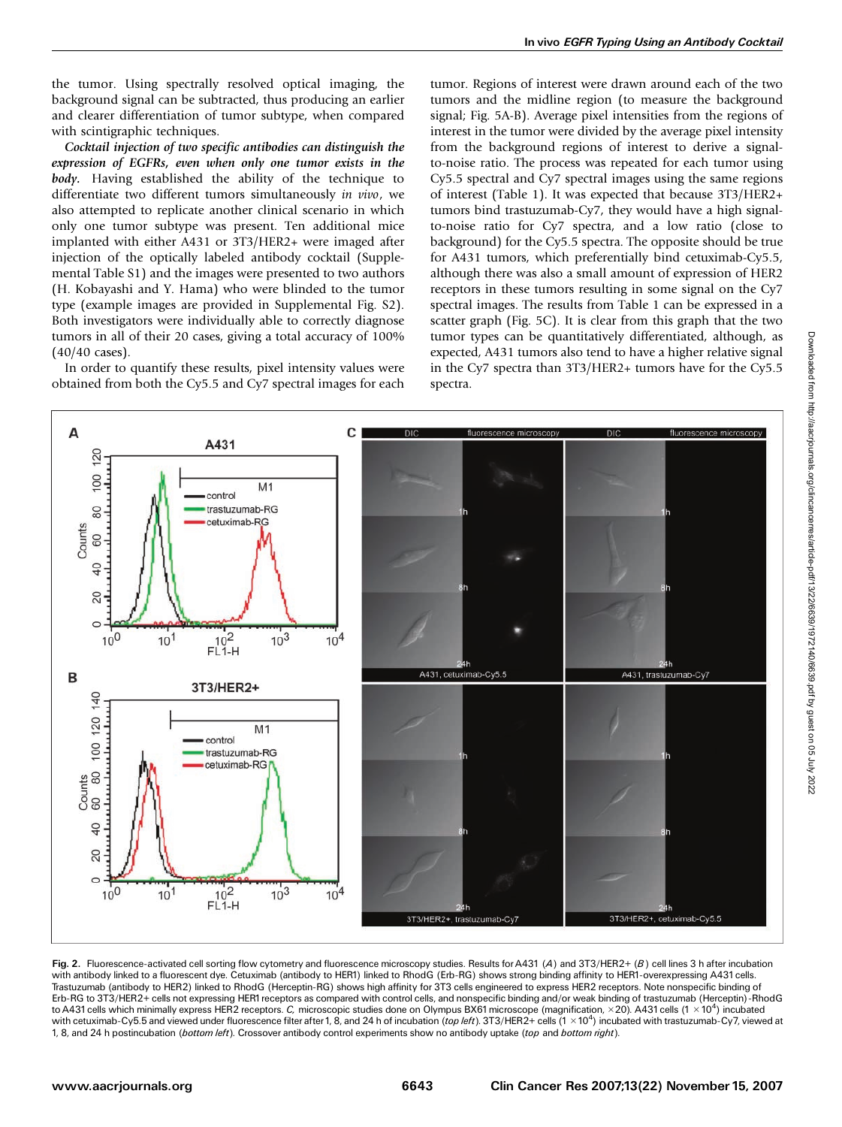the tumor. Using spectrally resolved optical imaging, the background signal can be subtracted, thus producing an earlier and clearer differentiation of tumor subtype, when compared with scintigraphic techniques.

Cocktail injection of two specific antibodies can distinguish the expression of EGFRs, even when only one tumor exists in the body. Having established the ability of the technique to differentiate two different tumors simultaneously in vivo, we also attempted to replicate another clinical scenario in which only one tumor subtype was present. Ten additional mice implanted with either A431 or 3T3/HER2+ were imaged after injection of the optically labeled antibody cocktail (Supplemental Table S1) and the images were presented to two authors (H. Kobayashi and Y. Hama) who were blinded to the tumor type (example images are provided in Supplemental Fig. S2). Both investigators were individually able to correctly diagnose tumors in all of their 20 cases, giving a total accuracy of 100% (40/40 cases).

In order to quantify these results, pixel intensity values were obtained from both the Cy5.5 and Cy7 spectral images for each

tumor. Regions of interest were drawn around each of the two tumors and the midline region (to measure the background signal; Fig. 5A-B). Average pixel intensities from the regions of interest in the tumor were divided by the average pixel intensity from the background regions of interest to derive a signalto-noise ratio. The process was repeated for each tumor using Cy5.5 spectral and Cy7 spectral images using the same regions of interest (Table 1). It was expected that because 3T3/HER2+ tumors bind trastuzumab-Cy7, they would have a high signalto-noise ratio for Cy7 spectra, and a low ratio (close to background) for the Cy5.5 spectra. The opposite should be true for A431 tumors, which preferentially bind cetuximab-Cy5.5, although there was also a small amount of expression of HER2 receptors in these tumors resulting in some signal on the Cy7 spectral images. The results from Table 1 can be expressed in a scatter graph (Fig. 5C). It is clear from this graph that the two tumor types can be quantitatively differentiated, although, as expected, A431 tumors also tend to have a higher relative signal in the Cy7 spectra than 3T3/HER2+ tumors have for the Cy5.5 spectra.



Fig. 2. Fluorescence-activated cell sorting flow cytometry and fluorescence microscopy studies. Results for A431 (A) and 3T3/HER2+ (B) cell lines 3 h after incubation with antibody linked to a fluorescent dye.Cetuximab (antibody to HER1) linked to RhodG (Erb-RG) shows strong binding affinity to HER1-overexpressing A431cells. Trastuzumab (antibody to HER2) linked to RhodG (Herceptin-RG) shows high affinity for 3T3 cells engineered to express HER2 receptors. Note nonspecific binding of Erb-RG to 3T3/HER2+ cells not expressing HER1receptors as compared with control cells, and nonspecific binding and/or weak binding of trastuzumab (Herceptin)-RhodG to A431 cells which minimally express HER2 receptors. *C, m*icroscopic studies done on Olympus BX61 microscope (magnification, ×20). A431 cells (1 ×10<sup>4</sup>) incubated with cetuximab-Cy5.5 and viewed under fluorescence filter after 1, 8, and 24 h of incubation (*top left*). 3T3/HER2+ cells (1 × 10<sup>4</sup>) incubated with trastuzumab-Cy7, viewed at 1, 8, and 24 h postincubation (bottom left). Crossover antibody control experiments show no antibody uptake (top and bottom right).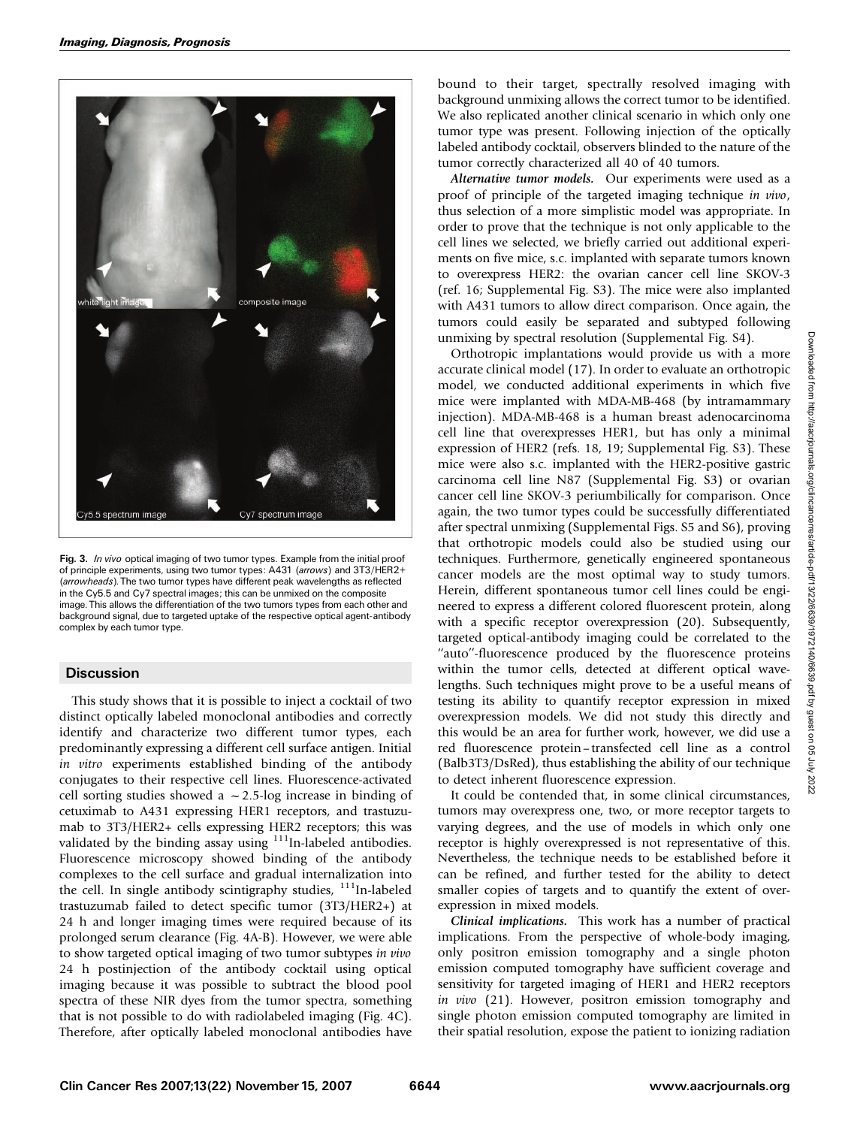

Fig. 3. In vivo optical imaging of two tumor types. Example from the initial proof of principle experiments, using two tumor types: A431 (arrows) and 3T3/HER2+ (arrowheads).The two tumor types have different peak wavelengths as reflected in the Cy5.5 and Cy7 spectral images; this can be unmixed on the composite image.This allows the differentiation of the two tumors types from each other and background signal, due to targeted uptake of the respective optical agent-antibody complex by each tumor type.

# **Discussion**

This study shows that it is possible to inject a cocktail of two distinct optically labeled monoclonal antibodies and correctly identify and characterize two different tumor types, each predominantly expressing a different cell surface antigen. Initial in vitro experiments established binding of the antibody conjugates to their respective cell lines. Fluorescence-activated cell sorting studies showed a  $\sim$  2.5-log increase in binding of cetuximab to A431 expressing HER1 receptors, and trastuzumab to 3T3/HER2+ cells expressing HER2 receptors; this was validated by the binding assay using  $111$ In-labeled antibodies. Fluorescence microscopy showed binding of the antibody complexes to the cell surface and gradual internalization into the cell. In single antibody scintigraphy studies, <sup>111</sup>In-labeled trastuzumab failed to detect specific tumor (3T3/HER2+) at 24 h and longer imaging times were required because of its prolonged serum clearance (Fig. 4A-B). However, we were able to show targeted optical imaging of two tumor subtypes in vivo 24 h postinjection of the antibody cocktail using optical imaging because it was possible to subtract the blood pool spectra of these NIR dyes from the tumor spectra, something that is not possible to do with radiolabeled imaging (Fig. 4C). Therefore, after optically labeled monoclonal antibodies have

bound to their target, spectrally resolved imaging with background unmixing allows the correct tumor to be identified. We also replicated another clinical scenario in which only one tumor type was present. Following injection of the optically labeled antibody cocktail, observers blinded to the nature of the tumor correctly characterized all 40 of 40 tumors.

Alternative tumor models. Our experiments were used as a proof of principle of the targeted imaging technique in vivo, thus selection of a more simplistic model was appropriate. In order to prove that the technique is not only applicable to the cell lines we selected, we briefly carried out additional experiments on five mice, s.c. implanted with separate tumors known to overexpress HER2: the ovarian cancer cell line SKOV-3 (ref. 16; Supplemental Fig. S3). The mice were also implanted with A431 tumors to allow direct comparison. Once again, the tumors could easily be separated and subtyped following unmixing by spectral resolution (Supplemental Fig. S4).

Orthotropic implantations would provide us with a more accurate clinical model (17). In order to evaluate an orthotropic model, we conducted additional experiments in which five mice were implanted with MDA-MB-468 (by intramammary injection). MDA-MB-468 is a human breast adenocarcinoma cell line that overexpresses HER1, but has only a minimal expression of HER2 (refs. 18, 19; Supplemental Fig. S3). These mice were also s.c. implanted with the HER2-positive gastric carcinoma cell line N87 (Supplemental Fig. S3) or ovarian cancer cell line SKOV-3 periumbilically for comparison. Once again, the two tumor types could be successfully differentiated after spectral unmixing (Supplemental Figs. S5 and S6), proving that orthotropic models could also be studied using our techniques. Furthermore, genetically engineered spontaneous cancer models are the most optimal way to study tumors. Herein, different spontaneous tumor cell lines could be engineered to express a different colored fluorescent protein, along with a specific receptor overexpression (20). Subsequently, targeted optical-antibody imaging could be correlated to the "auto"-fluorescence produced by the fluorescence proteins within the tumor cells, detected at different optical wavelengths. Such techniques might prove to be a useful means of testing its ability to quantify receptor expression in mixed overexpression models. We did not study this directly and this would be an area for further work, however, we did use a red fluorescence protein – transfected cell line as a control (Balb3T3/DsRed), thus establishing the ability of our technique to detect inherent fluorescence expression.

It could be contended that, in some clinical circumstances, tumors may overexpress one, two, or more receptor targets to varying degrees, and the use of models in which only one receptor is highly overexpressed is not representative of this. Nevertheless, the technique needs to be established before it can be refined, and further tested for the ability to detect smaller copies of targets and to quantify the extent of overexpression in mixed models.

Clinical implications. This work has a number of practical implications. From the perspective of whole-body imaging, only positron emission tomography and a single photon emission computed tomography have sufficient coverage and sensitivity for targeted imaging of HER1 and HER2 receptors in vivo (21). However, positron emission tomography and single photon emission computed tomography are limited in their spatial resolution, expose the patient to ionizing radiation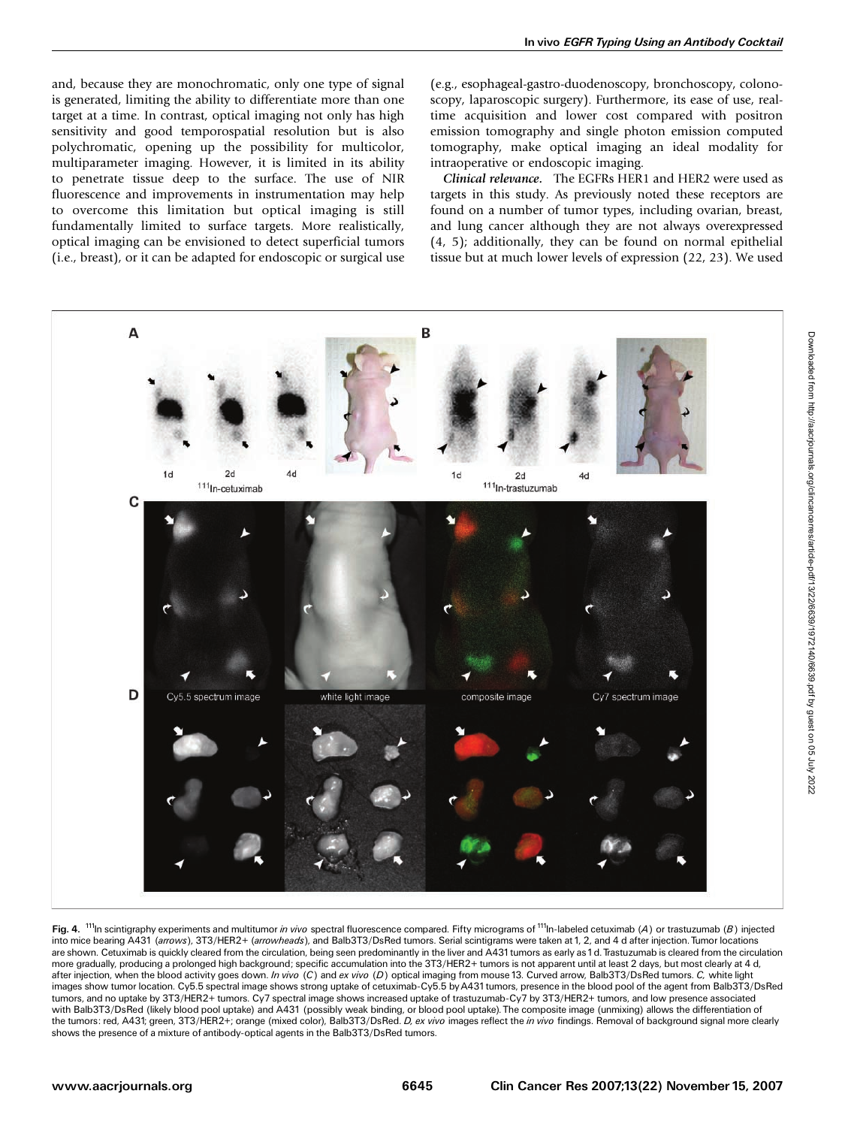and, because they are monochromatic, only one type of signal is generated, limiting the ability to differentiate more than one target at a time. In contrast, optical imaging not only has high sensitivity and good temporospatial resolution but is also polychromatic, opening up the possibility for multicolor, multiparameter imaging. However, it is limited in its ability to penetrate tissue deep to the surface. The use of NIR fluorescence and improvements in instrumentation may help to overcome this limitation but optical imaging is still fundamentally limited to surface targets. More realistically, optical imaging can be envisioned to detect superficial tumors (i.e., breast), or it can be adapted for endoscopic or surgical use (e.g., esophageal-gastro-duodenoscopy, bronchoscopy, colonoscopy, laparoscopic surgery). Furthermore, its ease of use, realtime acquisition and lower cost compared with positron emission tomography and single photon emission computed tomography, make optical imaging an ideal modality for intraoperative or endoscopic imaging.

Clinical relevance. The EGFRs HER1 and HER2 were used as targets in this study. As previously noted these receptors are found on a number of tumor types, including ovarian, breast, and lung cancer although they are not always overexpressed (4, 5); additionally, they can be found on normal epithelial tissue but at much lower levels of expression (22, 23). We used



Fig. 4. <sup>111</sup>In scintigraphy experiments and multitumor *in vivo* spectral fluorescence compared. Fifty micrograms of <sup>111</sup>In-labeled cetuximab (A) or trastuzumab (B) injected into mice bearing A431 (arrows), 3T3/HER2+ (arrowheads), and Balb3T3/DsRed tumors. Serial scintigrams were taken at 1, 2, and 4 d after injection. Tumor locations are shown. Cetuximab is quickly cleared from the circulation, being seen predominantly in the liver and A431 tumors as early as 1d. Trastuzumab is cleared from the circulation more gradually, producing a prolonged high background; specific accumulation into the 3T3/HER2+ tumors is not apparent until at least 2 days, but most clearly at 4 d, after injection, when the blood activity goes down. In vivo (C) and ex vivo (D) optical imaging from mouse 13. Curved arrow, Balb3T3/DsRed tumors. C, white light images show tumor location.Cy5.5 spectral image shows strong uptake of cetuximab-Cy5.5 byA431tumors, presence in the blood pool of the agent from Balb3T3/DsRed tumors, and no uptake by 3T3/HER2+ tumors.Cy7 spectral image shows increased uptake of trastuzumab-Cy7 by 3T3/HER2+ tumors, and low presence associated with Balb3T3/DsRed (likely blood pool uptake) and A431 (possibly weak binding, or blood pool uptake).The composite image (unmixing) allows the differentiation of the tumors: red, A431; green, 3T3/HER2+; orange (mixed color), Balb3T3/DsRed. D, ex vivo images reflect the in vivo findings. Removal of background signal more clearly shows the presence of a mixture of antibody-optical agents in the Balb3T3/DsRed tumors.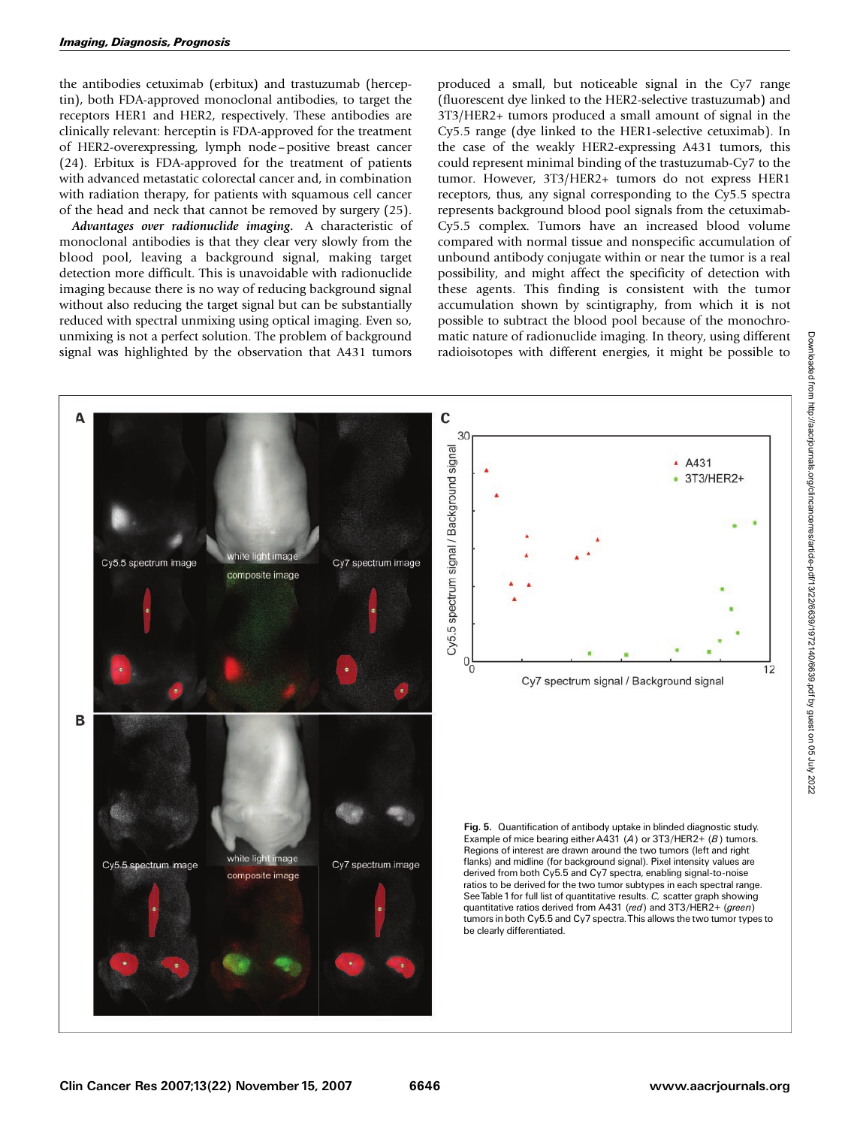the antibodies cetuximab (erbitux) and trastuzumab (herceptin), both FDA-approved monoclonal antibodies, to target the receptors HER1 and HER2, respectively. These antibodies are clinically relevant: herceptin is FDA-approved for the treatment of HER2-overexpressing, lymph node –positive breast cancer (24). Erbitux is FDA-approved for the treatment of patients with advanced metastatic colorectal cancer and, in combination with radiation therapy, for patients with squamous cell cancer of the head and neck that cannot be removed by surgery (25).

Advantages over radionuclide imaging. A characteristic of monoclonal antibodies is that they clear very slowly from the blood pool, leaving a background signal, making target detection more difficult. This is unavoidable with radionuclide imaging because there is no way of reducing background signal without also reducing the target signal but can be substantially reduced with spectral unmixing using optical imaging. Even so, unmixing is not a perfect solution. The problem of background signal was highlighted by the observation that A431 tumors

produced a small, but noticeable signal in the Cy7 range (fluorescent dye linked to the HER2-selective trastuzumab) and 3T3/HER2+ tumors produced a small amount of signal in the Cy5.5 range (dye linked to the HER1-selective cetuximab). In the case of the weakly HER2-expressing A431 tumors, this could represent minimal binding of the trastuzumab-Cy7 to the tumor. However, 3T3/HER2+ tumors do not express HER1 receptors, thus, any signal corresponding to the Cy5.5 spectra represents background blood pool signals from the cetuximab-Cy5.5 complex. Tumors have an increased blood volume compared with normal tissue and nonspecific accumulation of unbound antibody conjugate within or near the tumor is a real possibility, and might affect the specificity of detection with these agents. This finding is consistent with the tumor accumulation shown by scintigraphy, from which it is not possible to subtract the blood pool because of the monochromatic nature of radionuclide imaging. In theory, using different radioisotopes with different energies, it might be possible to

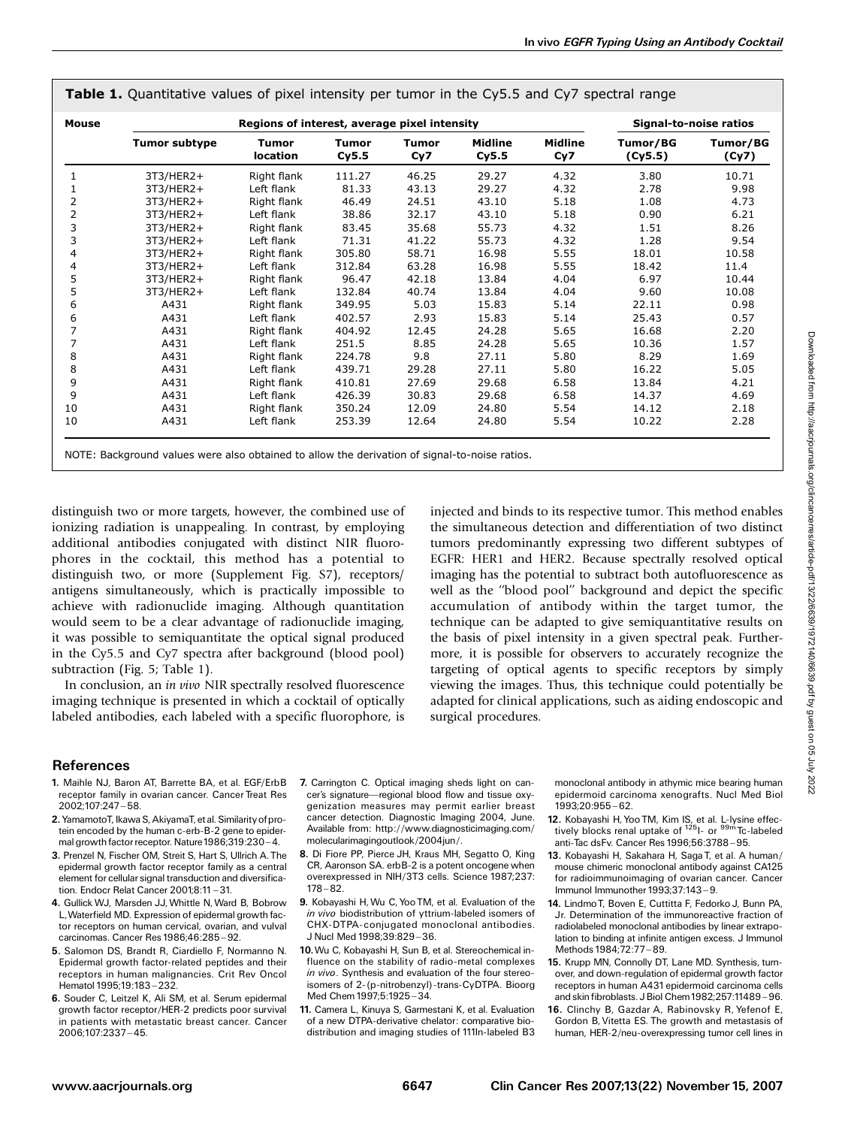| Mouse          | Regions of interest, average pixel intensity |                          |                       |                     |                         |                       | Signal-to-noise ratios |                   |
|----------------|----------------------------------------------|--------------------------|-----------------------|---------------------|-------------------------|-----------------------|------------------------|-------------------|
|                | <b>Tumor subtype</b>                         | <b>Tumor</b><br>location | <b>Tumor</b><br>Cy5.5 | <b>Tumor</b><br>Cy7 | <b>Midline</b><br>Cy5.5 | <b>Midline</b><br>Cy7 | Tumor/BG<br>(Cy5.5)    | Tumor/BG<br>(Cy7) |
| 1              | 3T3/HER2+                                    | Right flank              | 111.27                | 46.25               | 29.27                   | 4.32                  | 3.80                   | 10.71             |
|                | 3T3/HER2+                                    | Left flank               | 81.33                 | 43.13               | 29.27                   | 4.32                  | 2.78                   | 9.98              |
| 2              | 3T3/HER2+                                    | Right flank              | 46.49                 | 24.51               | 43.10                   | 5.18                  | 1.08                   | 4.73              |
| $\overline{2}$ | 3T3/HER2+                                    | Left flank               | 38.86                 | 32.17               | 43.10                   | 5.18                  | 0.90                   | 6.21              |
| 3              | 3T3/HER2+                                    | Right flank              | 83.45                 | 35.68               | 55.73                   | 4.32                  | 1.51                   | 8.26              |
| 3              | 3T3/HER2+                                    | Left flank               | 71.31                 | 41.22               | 55.73                   | 4.32                  | 1.28                   | 9.54              |
| 4              | 3T3/HER2+                                    | Right flank              | 305.80                | 58.71               | 16.98                   | 5.55                  | 18.01                  | 10.58             |
| 4              | 3T3/HER2+                                    | Left flank               | 312.84                | 63.28               | 16.98                   | 5.55                  | 18.42                  | 11.4              |
| 5              | 3T3/HER2+                                    | Right flank              | 96.47                 | 42.18               | 13.84                   | 4.04                  | 6.97                   | 10.44             |
| 5              | 3T3/HER2+                                    | Left flank               | 132.84                | 40.74               | 13.84                   | 4.04                  | 9.60                   | 10.08             |
| 6              | A431                                         | Right flank              | 349.95                | 5.03                | 15.83                   | 5.14                  | 22.11                  | 0.98              |
| 6              | A431                                         | Left flank               | 402.57                | 2.93                | 15.83                   | 5.14                  | 25.43                  | 0.57              |
|                | A431                                         | Right flank              | 404.92                | 12.45               | 24.28                   | 5.65                  | 16.68                  | 2.20              |
|                | A431                                         | Left flank               | 251.5                 | 8.85                | 24.28                   | 5.65                  | 10.36                  | 1.57              |
| 8              | A431                                         | Right flank              | 224.78                | 9.8                 | 27.11                   | 5.80                  | 8.29                   | 1.69              |
| 8              | A431                                         | Left flank               | 439.71                | 29.28               | 27.11                   | 5.80                  | 16.22                  | 5.05              |
| 9              | A431                                         | Right flank              | 410.81                | 27.69               | 29.68                   | 6.58                  | 13.84                  | 4.21              |
| 9              | A431                                         | Left flank               | 426.39                | 30.83               | 29.68                   | 6.58                  | 14.37                  | 4.69              |
| 10             | A431                                         | Right flank              | 350.24                | 12.09               | 24.80                   | 5.54                  | 14.12                  | 2.18              |
| 10             | A431                                         | Left flank               | 253.39                | 12.64               | 24.80                   | 5.54                  | 10.22                  | 2.28              |

**Table 1.** Quantitative values of pixel intensity per tumor in the Cy5.5 and Cy7 spectral range

distinguish two or more targets, however, the combined use of ionizing radiation is unappealing. In contrast, by employing additional antibodies conjugated with distinct NIR fluorophores in the cocktail, this method has a potential to distinguish two, or more (Supplement Fig. S7), receptors/ antigens simultaneously, which is practically impossible to achieve with radionuclide imaging. Although quantitation would seem to be a clear advantage of radionuclide imaging, it was possible to semiquantitate the optical signal produced in the Cy5.5 and Cy7 spectra after background (blood pool) subtraction (Fig. 5; Table 1).

In conclusion, an in vivo NIR spectrally resolved fluorescence imaging technique is presented in which a cocktail of optically labeled antibodies, each labeled with a specific fluorophore, is injected and binds to its respective tumor. This method enables the simultaneous detection and differentiation of two distinct tumors predominantly expressing two different subtypes of EGFR: HER1 and HER2. Because spectrally resolved optical imaging has the potential to subtract both autofluorescence as well as the ''blood pool'' background and depict the specific accumulation of antibody within the target tumor, the technique can be adapted to give semiquantitative results on the basis of pixel intensity in a given spectral peak. Furthermore, it is possible for observers to accurately recognize the targeting of optical agents to specific receptors by simply viewing the images. Thus, this technique could potentially be adapted for clinical applications, such as aiding endoscopic and surgical procedures.

# References

- 1. Maihle NJ. Baron AT, Barrette BA, et al. EGF/ErbB receptor family in ovarian cancer. Cancer Treat Res  $2002:107:247 - 58$
- 2.YamamotoT, Ikawa S, AkiyamaT, et al.Similarityofprotein encoded by the human c-erb-B-2 gene to epidermal growth factor receptor. Nature 1986;319:230-4.
- 3. Prenzel N, Fischer OM, Streit S, Hart S, Ullrich A. The epidermal growth factor receptor family as a central element for cellular signal transduction and diversification.Endocr Relat Cancer 2001;8:11 ^ 31.
- 4. Gullick WJ, Marsden JJ, Whittle N, Ward B, Bobrow L,Waterfield MD.Expression of epidermal growth factor receptors on human cervical, ovarian, and vulval carcinomas. Cancer Res 1986;46:285-92.
- 5. Salomon DS, Brandt R, Ciardiello F, Normanno N. Epidermal growth factor-related peptides and their receptors in human malignancies. Crit Rev Oncol Hematol 1995:19:183-232
- 6. Souder C, Leitzel K, Ali SM, et al. Serum epidermal growth factor receptor/HER-2 predicts poor survival in patients with metastatic breast cancer. Cancer 2006;107:2337 ^ 45.
- 7. Carrington C. Optical imaging sheds light on cancer's signature-regional blood flow and tissue oxygenization measures may permit earlier breast cancer detection. Diagnostic Imaging 2004, June. Available from: http://www.diagnosticimaging.com/ molecularimagingoutlook/2004jun/.
- 8. Di Fiore PP, Pierce JH, Kraus MH, Segatto O, King CR, Aaronson SA.erbB-2 is a potent oncogene when overexpressed in NIH/3T3 cells. Science 1987;237:  $178 - 82.$
- 9. Kobayashi H, Wu C, Yoo TM, et al. Evaluation of the in vivo biodistribution of yttrium-labeled isomers of CHX-DTPA-conjugated monoclonal antibodies. J Nucl Med 1998;39:829 ^ 36.
- 10. Wu C, Kobayashi H, Sun B, et al. Stereochemical influence on the stability of radio-metal complexes in vivo. Synthesis and evaluation of the four stereoisomers of 2-(p-nitrobenzyl)-trans-CyDTPA. Bioorg Med Chem 1997:5:1925-34.
- 11. Camera L, Kinuya S, Garmestani K, et al. Evaluation of a new DTPA-derivative chelator: comparative biodistribution and imaging studies of 111In-labeled B3

monoclonal antibody in athymic mice bearing human epidermoid carcinoma xenografts. Nucl Med Biol  $1993:20:955 - 62$ 

- 12. Kobayashi H, Yoo TM, Kim IS, et al. L-lysine effectively blocks renal uptake of  $125$ - or  $99<sup>cm</sup>$ Tc-labeled anti-Tac dsFv.Cancer Res 1996;56:3788 ^ 95.
- 13. Kobayashi H, Sakahara H, Saga T, et al. A human/ mouse chimeric monoclonal antibody against CA125 for radioimmunoimaging of ovarian cancer. Cancer Immunol Immunother 1993;37:143 ^ 9.
- 14. Lindmo T, Boven E, Cuttitta F, Fedorko J, Bunn PA Jr. Determination of the immunoreactive fraction of radiolabeled monoclonal antibodies by linear extrapolation to binding at infinite antigen excess. J Immunol Methods 1984;72:77-89.
- 15. Krupp MN, Connolly DT, Lane MD. Synthesis, turnover, and down-regulation of epidermal growth factor receptors in human A431epidermoid carcinoma cells and skin fibroblasts. J Biol Chem 1982;257:11489-96.
- 16. Clinchy B, Gazdar A, Rabinovsky R, Yefenof E, Gordon B, Vitetta ES.The growth and metastasis of human, HER-2/neu-overexpressing tumor cell lines in